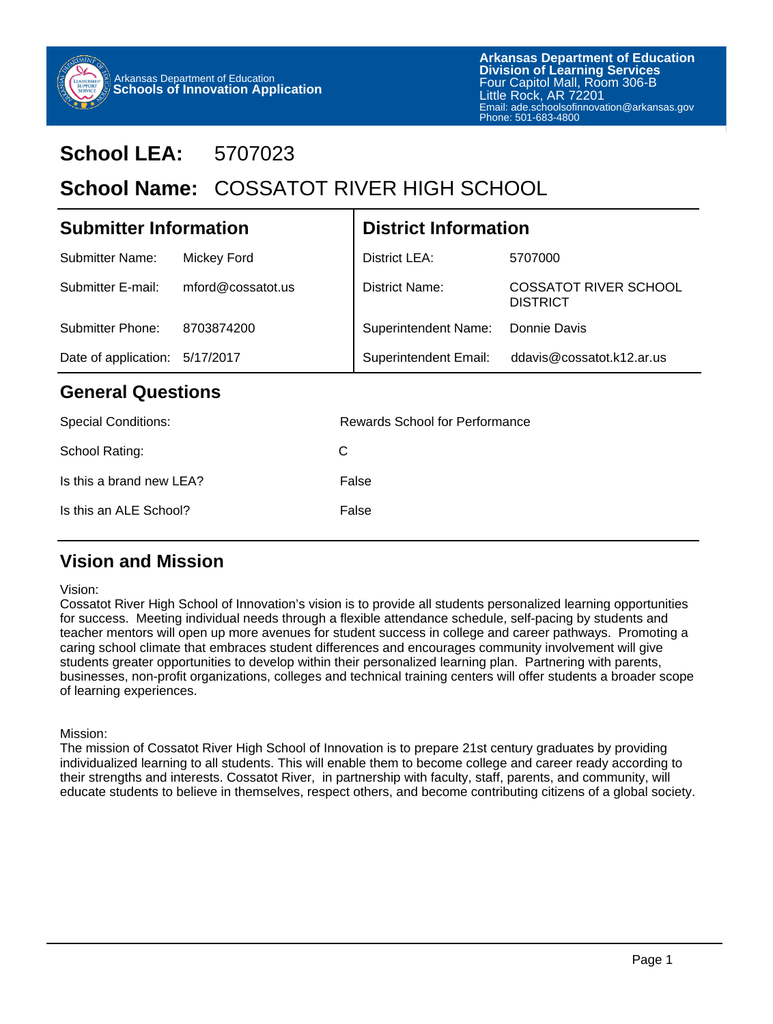

# **School LEA:** 5707023

# School Name: COSSATOT RIVER HIGH SCHOOL

| <b>Submitter Information</b>   |                   | <b>District Information</b>           |                                                 |  |  |
|--------------------------------|-------------------|---------------------------------------|-------------------------------------------------|--|--|
| <b>Submitter Name:</b>         | Mickey Ford       | District LEA:                         | 5707000                                         |  |  |
| Submitter E-mail:              | mford@cossatot.us | <b>District Name:</b>                 | <b>COSSATOT RIVER SCHOOL</b><br><b>DISTRICT</b> |  |  |
| Submitter Phone:               | 8703874200        | <b>Superintendent Name:</b>           | Donnie Davis                                    |  |  |
| Date of application: 5/17/2017 |                   | <b>Superintendent Email:</b>          | ddavis@cossatot.k12.ar.us                       |  |  |
| <b>General Questions</b>       |                   |                                       |                                                 |  |  |
| Conniel Conditioner            |                   | <b>Dougrde Cohool for Dorformange</b> |                                                 |  |  |

| Rewards School for Performance |
|--------------------------------|
| C                              |
| False                          |
| False                          |
|                                |

## **Vision and Mission**

#### Vision:

Cossatot River High School of Innovation's vision is to provide all students personalized learning opportunities for success. Meeting individual needs through a flexible attendance schedule, self-pacing by students and teacher mentors will open up more avenues for student success in college and career pathways. Promoting a caring school climate that embraces student differences and encourages community involvement will give students greater opportunities to develop within their personalized learning plan. Partnering with parents, businesses, non-profit organizations, colleges and technical training centers will offer students a broader scope of learning experiences.

### Mission:

The mission of Cossatot River High School of Innovation is to prepare 21st century graduates by providing individualized learning to all students. This will enable them to become college and career ready according to their strengths and interests. Cossatot River, in partnership with faculty, staff, parents, and community, will educate students to believe in themselves, respect others, and become contributing citizens of a global society.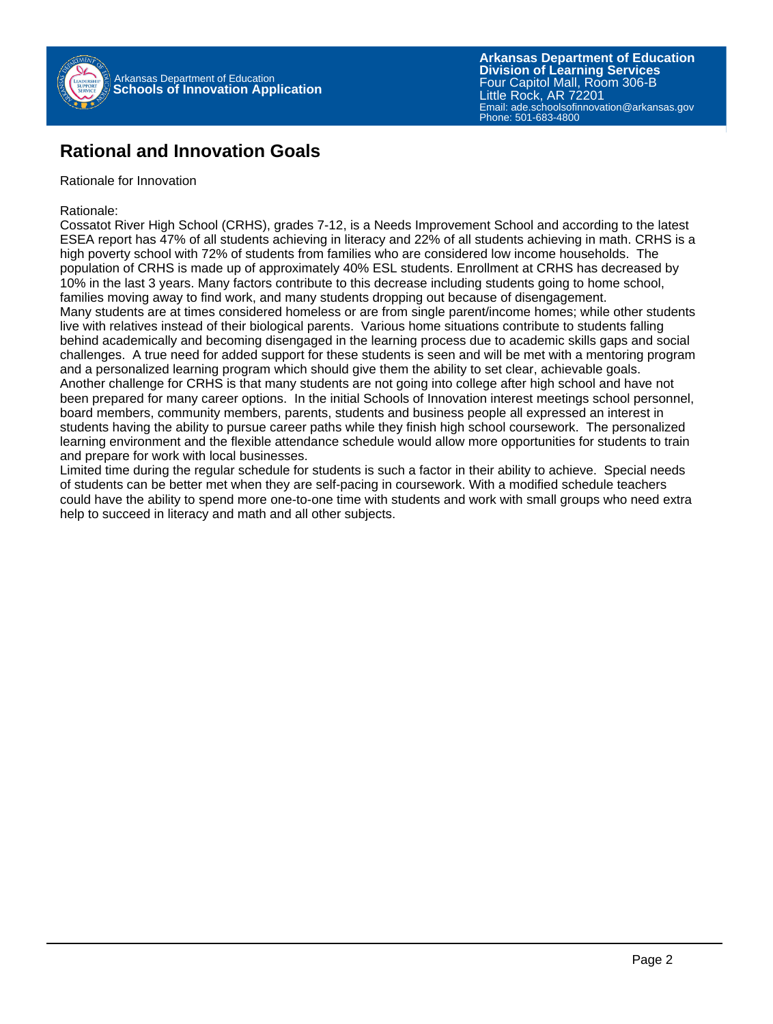

### **Rational and Innovation Goals**

Rationale for Innovation

Rationale:

Cossatot River High School (CRHS), grades 7-12, is a Needs Improvement School and according to the latest ESEA report has 47% of all students achieving in literacy and 22% of all students achieving in math. CRHS is a high poverty school with 72% of students from families who are considered low income households. The population of CRHS is made up of approximately 40% ESL students. Enrollment at CRHS has decreased by 10% in the last 3 years. Many factors contribute to this decrease including students going to home school, families moving away to find work, and many students dropping out because of disengagement. Many students are at times considered homeless or are from single parent/income homes; while other students live with relatives instead of their biological parents. Various home situations contribute to students falling behind academically and becoming disengaged in the learning process due to academic skills gaps and social challenges. A true need for added support for these students is seen and will be met with a mentoring program and a personalized learning program which should give them the ability to set clear, achievable goals. Another challenge for CRHS is that many students are not going into college after high school and have not been prepared for many career options. In the initial Schools of Innovation interest meetings school personnel, board members, community members, parents, students and business people all expressed an interest in students having the ability to pursue career paths while they finish high school coursework. The personalized learning environment and the flexible attendance schedule would allow more opportunities for students to train and prepare for work with local businesses.

Limited time during the regular schedule for students is such a factor in their ability to achieve. Special needs of students can be better met when they are self-pacing in coursework. With a modified schedule teachers could have the ability to spend more one-to-one time with students and work with small groups who need extra help to succeed in literacy and math and all other subjects.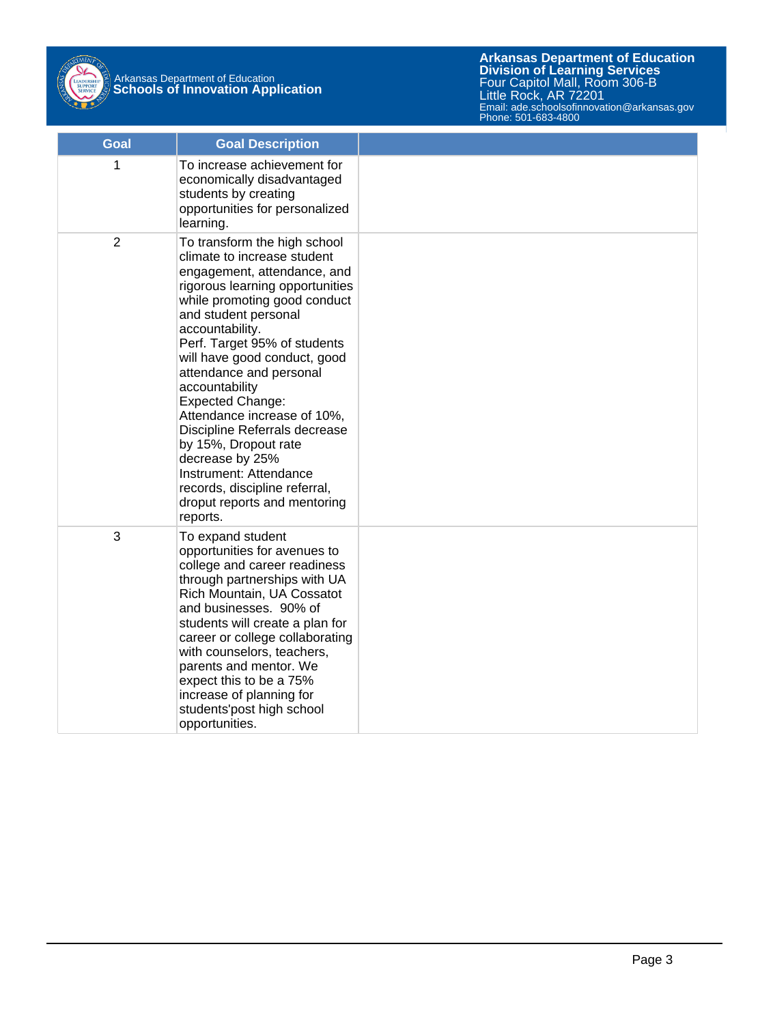

# Arkansas Department of Education **Schools of Innovation Application**

| Goal           | <b>Goal Description</b>                                                                                                                                                                                                                                                                                                                                                                                                                                                                                                                                            |  |
|----------------|--------------------------------------------------------------------------------------------------------------------------------------------------------------------------------------------------------------------------------------------------------------------------------------------------------------------------------------------------------------------------------------------------------------------------------------------------------------------------------------------------------------------------------------------------------------------|--|
| 1              | To increase achievement for<br>economically disadvantaged<br>students by creating<br>opportunities for personalized<br>learning.                                                                                                                                                                                                                                                                                                                                                                                                                                   |  |
| $\overline{2}$ | To transform the high school<br>climate to increase student<br>engagement, attendance, and<br>rigorous learning opportunities<br>while promoting good conduct<br>and student personal<br>accountability.<br>Perf. Target 95% of students<br>will have good conduct, good<br>attendance and personal<br>accountability<br><b>Expected Change:</b><br>Attendance increase of 10%,<br>Discipline Referrals decrease<br>by 15%, Dropout rate<br>decrease by 25%<br>Instrument: Attendance<br>records, discipline referral,<br>droput reports and mentoring<br>reports. |  |
| 3              | To expand student<br>opportunities for avenues to<br>college and career readiness<br>through partnerships with UA<br>Rich Mountain, UA Cossatot<br>and businesses. 90% of<br>students will create a plan for<br>career or college collaborating<br>with counselors, teachers,<br>parents and mentor. We<br>expect this to be a 75%<br>increase of planning for<br>students'post high school<br>opportunities.                                                                                                                                                      |  |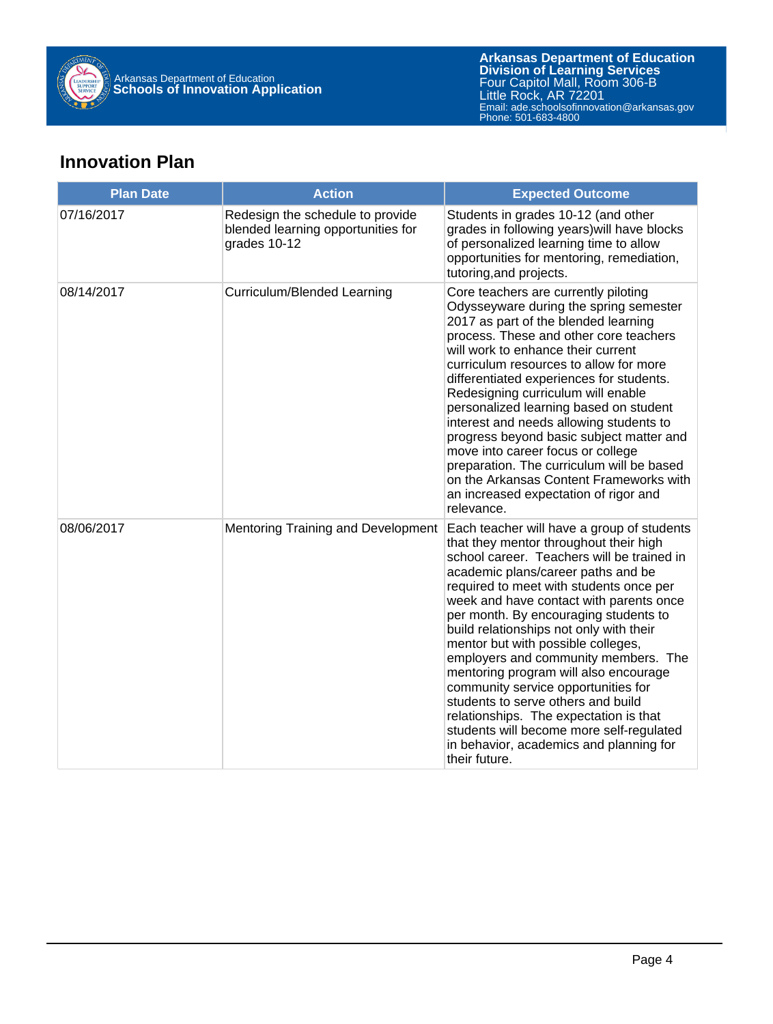

## **Innovation Plan**

| <b>Plan Date</b> | <b>Action</b>                                                                          | <b>Expected Outcome</b>                                                                                                                                                                                                                                                                                                                                                                                                                                                                                                                                                                                                                                                                                  |
|------------------|----------------------------------------------------------------------------------------|----------------------------------------------------------------------------------------------------------------------------------------------------------------------------------------------------------------------------------------------------------------------------------------------------------------------------------------------------------------------------------------------------------------------------------------------------------------------------------------------------------------------------------------------------------------------------------------------------------------------------------------------------------------------------------------------------------|
| 07/16/2017       | Redesign the schedule to provide<br>blended learning opportunities for<br>grades 10-12 | Students in grades 10-12 (and other<br>grades in following years) will have blocks<br>of personalized learning time to allow<br>opportunities for mentoring, remediation,<br>tutoring, and projects.                                                                                                                                                                                                                                                                                                                                                                                                                                                                                                     |
| 08/14/2017       | Curriculum/Blended Learning                                                            | Core teachers are currently piloting<br>Odysseyware during the spring semester<br>2017 as part of the blended learning<br>process. These and other core teachers<br>will work to enhance their current<br>curriculum resources to allow for more<br>differentiated experiences for students.<br>Redesigning curriculum will enable<br>personalized learning based on student<br>interest and needs allowing students to<br>progress beyond basic subject matter and<br>move into career focus or college<br>preparation. The curriculum will be based<br>on the Arkansas Content Frameworks with<br>an increased expectation of rigor and<br>relevance.                                                  |
| 08/06/2017       | Mentoring Training and Development                                                     | Each teacher will have a group of students<br>that they mentor throughout their high<br>school career. Teachers will be trained in<br>academic plans/career paths and be<br>required to meet with students once per<br>week and have contact with parents once<br>per month. By encouraging students to<br>build relationships not only with their<br>mentor but with possible colleges,<br>employers and community members. The<br>mentoring program will also encourage<br>community service opportunities for<br>students to serve others and build<br>relationships. The expectation is that<br>students will become more self-regulated<br>in behavior, academics and planning for<br>their future. |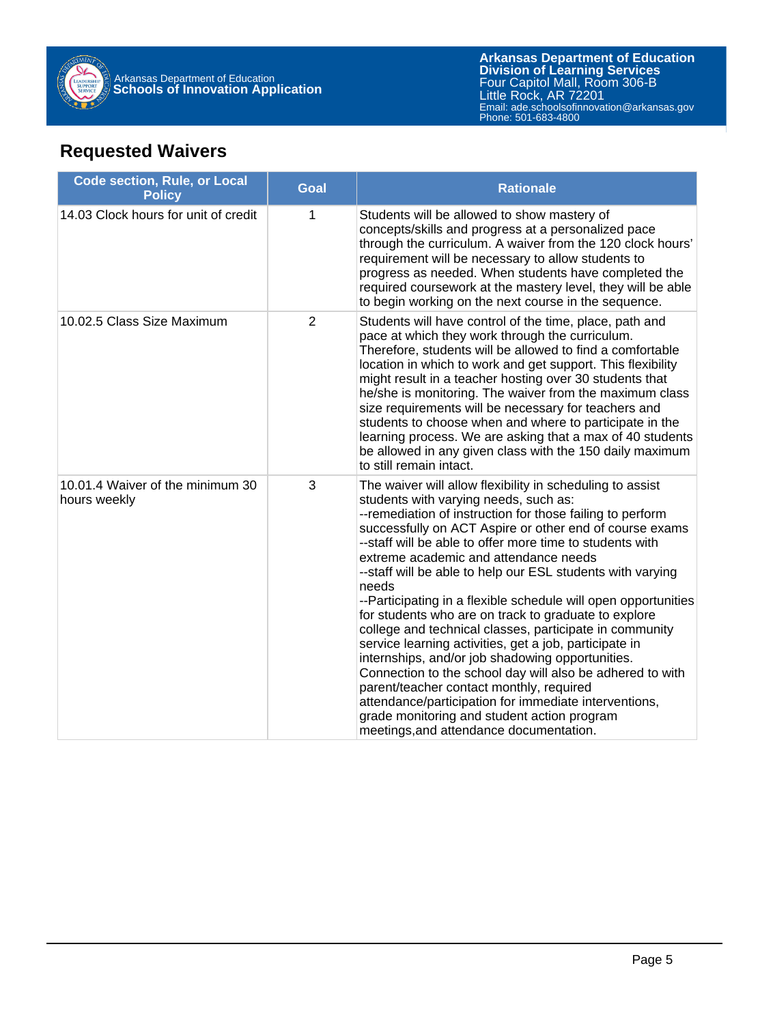

## **Requested Waivers**

| <b>Code section, Rule, or Local</b><br><b>Policy</b> | <b>Goal</b>    | <b>Rationale</b>                                                                                                                                                                                                                                                                                                                                                                                                                                                                                                                                                                                                                                                                                                                                                                                                                                                                                                                                                      |
|------------------------------------------------------|----------------|-----------------------------------------------------------------------------------------------------------------------------------------------------------------------------------------------------------------------------------------------------------------------------------------------------------------------------------------------------------------------------------------------------------------------------------------------------------------------------------------------------------------------------------------------------------------------------------------------------------------------------------------------------------------------------------------------------------------------------------------------------------------------------------------------------------------------------------------------------------------------------------------------------------------------------------------------------------------------|
| 14.03 Clock hours for unit of credit                 | 1              | Students will be allowed to show mastery of<br>concepts/skills and progress at a personalized pace<br>through the curriculum. A waiver from the 120 clock hours'<br>requirement will be necessary to allow students to<br>progress as needed. When students have completed the<br>required coursework at the mastery level, they will be able<br>to begin working on the next course in the sequence.                                                                                                                                                                                                                                                                                                                                                                                                                                                                                                                                                                 |
| 10.02.5 Class Size Maximum                           | $\overline{2}$ | Students will have control of the time, place, path and<br>pace at which they work through the curriculum.<br>Therefore, students will be allowed to find a comfortable<br>location in which to work and get support. This flexibility<br>might result in a teacher hosting over 30 students that<br>he/she is monitoring. The waiver from the maximum class<br>size requirements will be necessary for teachers and<br>students to choose when and where to participate in the<br>learning process. We are asking that a max of 40 students<br>be allowed in any given class with the 150 daily maximum<br>to still remain intact.                                                                                                                                                                                                                                                                                                                                   |
| 10.01.4 Waiver of the minimum 30<br>hours weekly     | 3              | The waiver will allow flexibility in scheduling to assist<br>students with varying needs, such as:<br>--remediation of instruction for those failing to perform<br>successfully on ACT Aspire or other end of course exams<br>--staff will be able to offer more time to students with<br>extreme academic and attendance needs<br>--staff will be able to help our ESL students with varying<br>needs<br>--Participating in a flexible schedule will open opportunities<br>for students who are on track to graduate to explore<br>college and technical classes, participate in community<br>service learning activities, get a job, participate in<br>internships, and/or job shadowing opportunities.<br>Connection to the school day will also be adhered to with<br>parent/teacher contact monthly, required<br>attendance/participation for immediate interventions,<br>grade monitoring and student action program<br>meetings, and attendance documentation. |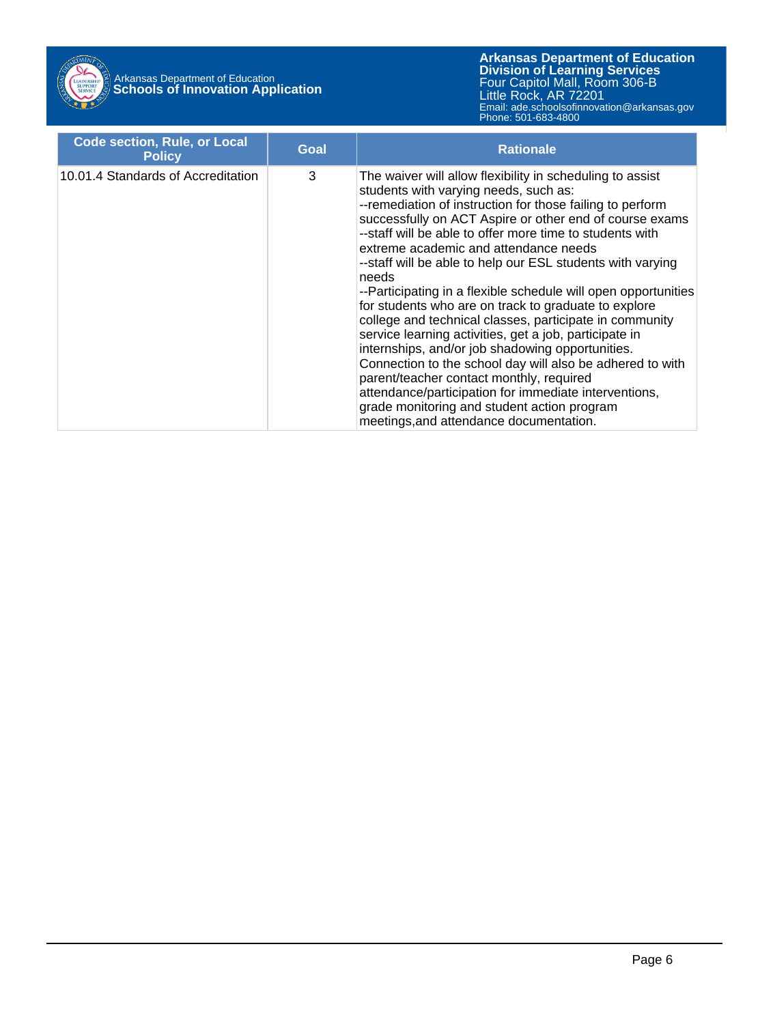

# Arkansas Department of Education **Schools of Innovation Application**

| <b>Code section, Rule, or Local</b><br><b>Policy</b> | Goal | <b>Rationale</b>                                                                                                                                                                                                                                                                                                                                                                                                                                                                                                                                                                                                                                                                                                                                                                                                                                                                                                                                                      |
|------------------------------------------------------|------|-----------------------------------------------------------------------------------------------------------------------------------------------------------------------------------------------------------------------------------------------------------------------------------------------------------------------------------------------------------------------------------------------------------------------------------------------------------------------------------------------------------------------------------------------------------------------------------------------------------------------------------------------------------------------------------------------------------------------------------------------------------------------------------------------------------------------------------------------------------------------------------------------------------------------------------------------------------------------|
| 10.01.4 Standards of Accreditation                   | 3    | The waiver will allow flexibility in scheduling to assist<br>students with varying needs, such as:<br>--remediation of instruction for those failing to perform<br>successfully on ACT Aspire or other end of course exams<br>--staff will be able to offer more time to students with<br>extreme academic and attendance needs<br>--staff will be able to help our ESL students with varying<br>needs<br>--Participating in a flexible schedule will open opportunities<br>for students who are on track to graduate to explore<br>college and technical classes, participate in community<br>service learning activities, get a job, participate in<br>internships, and/or job shadowing opportunities.<br>Connection to the school day will also be adhered to with<br>parent/teacher contact monthly, required<br>attendance/participation for immediate interventions,<br>grade monitoring and student action program<br>meetings, and attendance documentation. |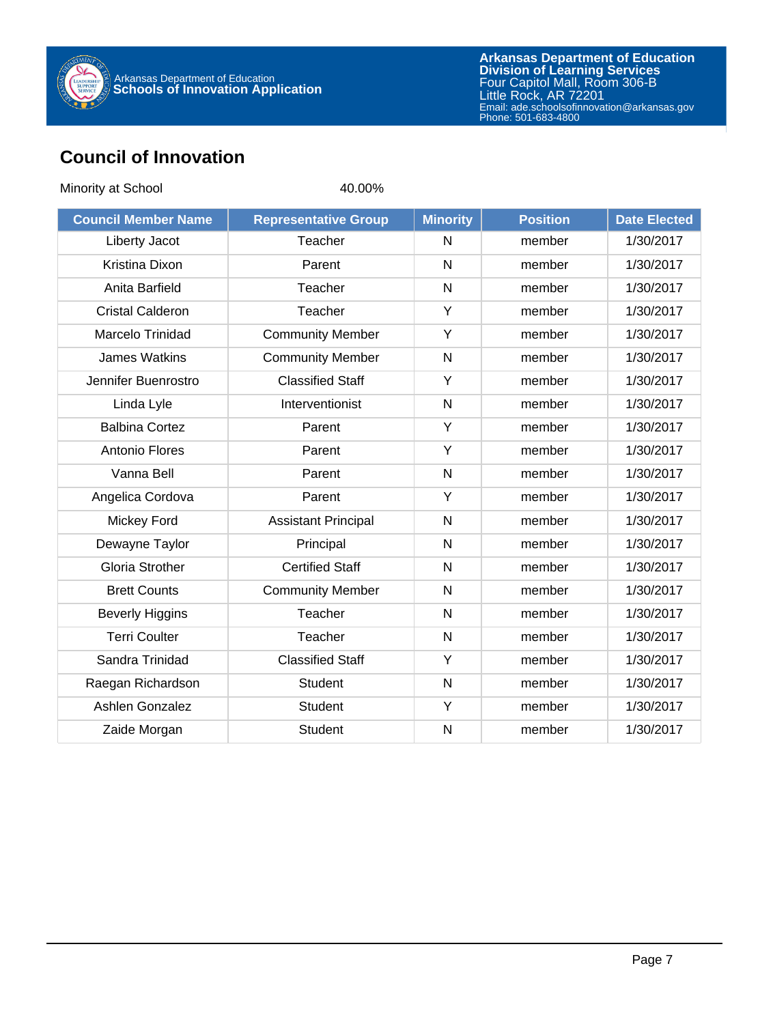

## **Council of Innovation**

| Minority at School         | 40.00%                      |                 |                 |                     |
|----------------------------|-----------------------------|-----------------|-----------------|---------------------|
| <b>Council Member Name</b> | <b>Representative Group</b> | <b>Minority</b> | <b>Position</b> | <b>Date Elected</b> |
| Liberty Jacot              | Teacher                     | N               | member          | 1/30/2017           |
| Kristina Dixon             | Parent                      | $\mathsf{N}$    | member          | 1/30/2017           |
| Anita Barfield             | Teacher                     | $\mathsf{N}$    | member          | 1/30/2017           |
| <b>Cristal Calderon</b>    | Teacher                     | Y               | member          | 1/30/2017           |
| Marcelo Trinidad           | <b>Community Member</b>     | Υ               | member          | 1/30/2017           |
| <b>James Watkins</b>       | <b>Community Member</b>     | $\mathsf{N}$    | member          | 1/30/2017           |
| Jennifer Buenrostro        | <b>Classified Staff</b>     | Y               | member          | 1/30/2017           |
| Linda Lyle                 | Interventionist             | N               | member          | 1/30/2017           |
| <b>Balbina Cortez</b>      | Parent                      | Y               | member          | 1/30/2017           |
| Antonio Flores             | Parent                      | Y               | member          | 1/30/2017           |
| Vanna Bell                 | Parent                      | N               | member          | 1/30/2017           |
| Angelica Cordova           | Parent                      | Y               | member          | 1/30/2017           |
| Mickey Ford                | <b>Assistant Principal</b>  | $\mathsf{N}$    | member          | 1/30/2017           |
| Dewayne Taylor             | Principal                   | $\mathsf{N}$    | member          | 1/30/2017           |
| <b>Gloria Strother</b>     | <b>Certified Staff</b>      | N               | member          | 1/30/2017           |
| <b>Brett Counts</b>        | <b>Community Member</b>     | N               | member          | 1/30/2017           |
| <b>Beverly Higgins</b>     | Teacher                     | $\mathsf{N}$    | member          | 1/30/2017           |
| <b>Terri Coulter</b>       | Teacher                     | N               | member          | 1/30/2017           |
| Sandra Trinidad            | <b>Classified Staff</b>     | Y               | member          | 1/30/2017           |
| Raegan Richardson          | <b>Student</b>              | $\mathsf{N}$    | member          | 1/30/2017           |
| Ashlen Gonzalez            | <b>Student</b>              | Y               | member          | 1/30/2017           |
| Zaide Morgan               | <b>Student</b>              | N               | member          | 1/30/2017           |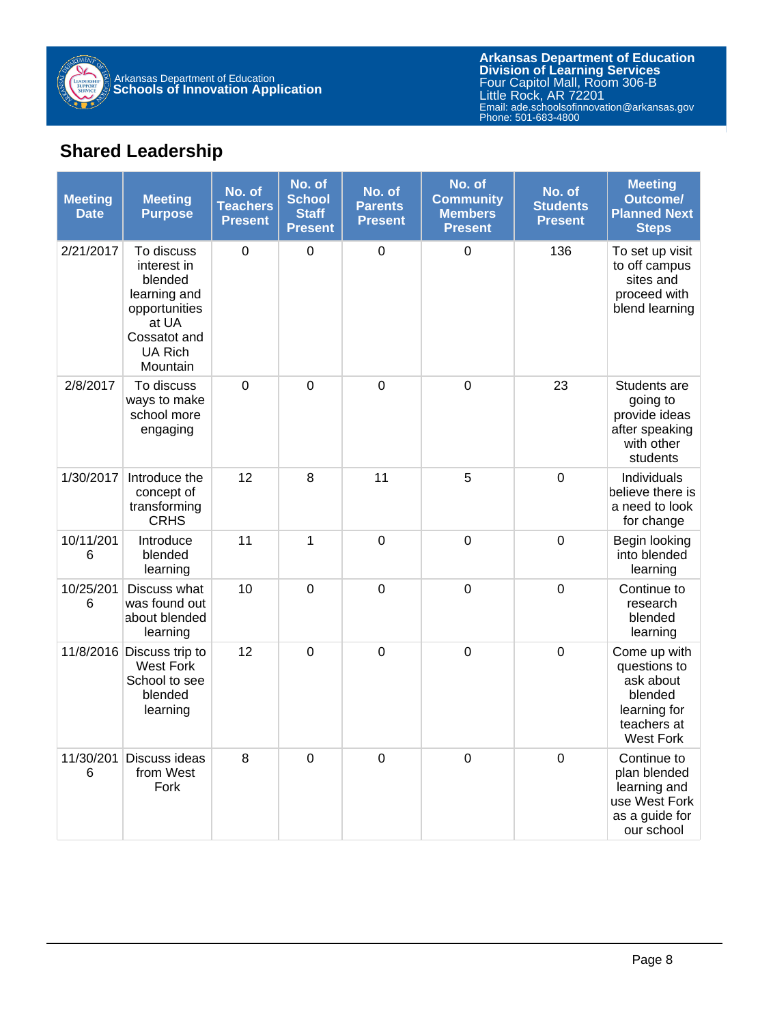

**Arkansas Department of Education** Email: ade.schoolsofinnovation@arkansas.gov **Division of Learning Services** Four Capitol Mall, Room 306-B Little Rock, AR 72201 Phone: 501-683-4800

## **Shared Leadership**

| <b>Meeting</b><br><b>Date</b> | <b>Meeting</b><br><b>Purpose</b>                                                                                             | No. of<br><b>Teachers</b><br><b>Present</b> | No. of<br><b>School</b><br><b>Staff</b><br>Present | No. of<br><b>Parents</b><br><b>Present</b> | No. of<br><b>Community</b><br><b>Members</b><br><b>Present</b> | No. of<br><b>Students</b><br><b>Present</b> | <b>Meeting</b><br><b>Outcome/</b><br><b>Planned Next</b><br><b>Steps</b>                                |
|-------------------------------|------------------------------------------------------------------------------------------------------------------------------|---------------------------------------------|----------------------------------------------------|--------------------------------------------|----------------------------------------------------------------|---------------------------------------------|---------------------------------------------------------------------------------------------------------|
| 2/21/2017                     | To discuss<br>interest in<br>blended<br>learning and<br>opportunities<br>at UA<br>Cossatot and<br><b>UA Rich</b><br>Mountain | $\Omega$                                    | $\mathbf 0$                                        | $\mathbf 0$                                | $\Omega$                                                       | 136                                         | To set up visit<br>to off campus<br>sites and<br>proceed with<br>blend learning                         |
| 2/8/2017                      | To discuss<br>ways to make<br>school more<br>engaging                                                                        | $\mathbf 0$                                 | $\mathbf 0$                                        | $\mathbf 0$                                | $\mathbf 0$                                                    | 23                                          | Students are<br>going to<br>provide ideas<br>after speaking<br>with other<br>students                   |
| 1/30/2017                     | Introduce the<br>concept of<br>transforming<br>CRHS                                                                          | 12                                          | 8                                                  | 11                                         | 5                                                              | $\mathbf 0$                                 | Individuals<br>believe there is<br>a need to look<br>for change                                         |
| 10/11/201<br>6                | Introduce<br>blended<br>learning                                                                                             | 11                                          | $\mathbf 1$                                        | $\mathbf 0$                                | $\mathbf 0$                                                    | $\mathbf 0$                                 | Begin looking<br>into blended<br>learning                                                               |
| 10/25/201<br>6                | Discuss what<br>was found out<br>about blended<br>learning                                                                   | 10                                          | $\overline{0}$                                     | $\mathbf 0$                                | $\boldsymbol{0}$                                               | $\mathbf 0$                                 | Continue to<br>research<br>blended<br>learning                                                          |
|                               | 11/8/2016 Discuss trip to<br><b>West Fork</b><br>School to see<br>blended<br>learning                                        | 12                                          | $\mathbf 0$                                        | $\mathsf 0$                                | $\mathbf 0$                                                    | $\mathbf 0$                                 | Come up with<br>questions to<br>ask about<br>blended<br>learning for<br>teachers at<br><b>West Fork</b> |
| 11/30/201<br>6                | Discuss ideas<br>from West<br>Fork                                                                                           | 8                                           | $\overline{0}$                                     | $\overline{0}$                             | $\overline{0}$                                                 | $\mathbf 0$                                 | Continue to<br>plan blended<br>learning and<br>use West Fork<br>as a guide for<br>our school            |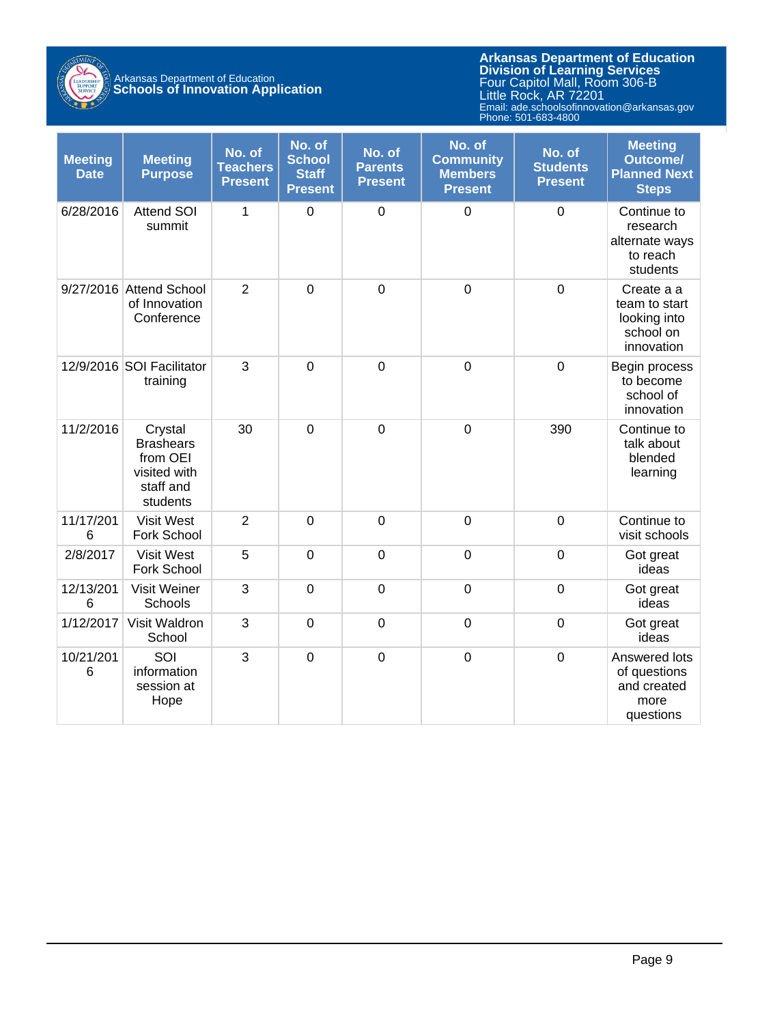

# Arkansas Department of Education **Schools of Innovation Application**

| <b>Meeting</b><br><b>Date</b> | <b>Meeting</b><br><b>Purpose</b>                                                 | No. of<br><b>Teachers</b><br><b>Present</b> | No. of<br><b>School</b><br><b>Staff</b><br><b>Present</b> | No. of<br><b>Parents</b><br><b>Present</b> | No. of<br><b>Community</b><br><b>Members</b><br><b>Present</b> | No. of<br><b>Students</b><br><b>Present</b> | <b>Meeting</b><br><b>Outcome/</b><br><b>Planned Next</b><br><b>Steps</b> |
|-------------------------------|----------------------------------------------------------------------------------|---------------------------------------------|-----------------------------------------------------------|--------------------------------------------|----------------------------------------------------------------|---------------------------------------------|--------------------------------------------------------------------------|
| 6/28/2016                     | <b>Attend SOI</b><br>summit                                                      | 1                                           | $\mathbf 0$                                               | $\mathbf 0$                                | $\mathbf 0$                                                    | $\mathbf 0$                                 | Continue to<br>research<br>alternate ways<br>to reach<br>students        |
|                               | 9/27/2016 Attend School<br>of Innovation<br>Conference                           | $\overline{2}$                              | $\overline{0}$                                            | $\mathbf 0$                                | $\mathbf 0$                                                    | $\mathbf 0$                                 | Create a a<br>team to start<br>looking into<br>school on<br>innovation   |
|                               | 12/9/2016 SOI Facilitator<br>training                                            | 3                                           | $\overline{0}$                                            | $\overline{0}$                             | $\overline{0}$                                                 | $\mathbf 0$                                 | Begin process<br>to become<br>school of<br>innovation                    |
| 11/2/2016                     | Crystal<br><b>Brashears</b><br>from OEI<br>visited with<br>staff and<br>students | 30                                          | $\mathbf 0$                                               | $\mathbf 0$                                | $\mathbf 0$                                                    | 390                                         | Continue to<br>talk about<br>blended<br>learning                         |
| 11/17/201<br>6                | <b>Visit West</b><br>Fork School                                                 | $\overline{2}$                              | $\overline{0}$                                            | $\overline{0}$                             | $\overline{0}$                                                 | $\mathbf 0$                                 | Continue to<br>visit schools                                             |
| 2/8/2017                      | <b>Visit West</b><br>Fork School                                                 | 5                                           | $\mathbf 0$                                               | $\mathbf 0$                                | $\mathbf 0$                                                    | $\mathbf 0$                                 | Got great<br>ideas                                                       |
| 12/13/201<br>$6\phantom{1}6$  | <b>Visit Weiner</b><br>Schools                                                   | 3                                           | $\overline{0}$                                            | $\overline{0}$                             | $\overline{0}$                                                 | $\mathbf 0$                                 | Got great<br>ideas                                                       |
| 1/12/2017                     | Visit Waldron<br>School                                                          | 3                                           | $\mathbf 0$                                               | $\mathbf 0$                                | $\mathbf 0$                                                    | $\mathbf 0$                                 | Got great<br>ideas                                                       |
| 10/21/201<br>6                | SOI<br>information<br>session at<br>Hope                                         | 3                                           | $\mathbf 0$                                               | $\mathbf 0$                                | $\mathbf 0$                                                    | $\mathbf 0$                                 | Answered lots<br>of questions<br>and created<br>more<br>questions        |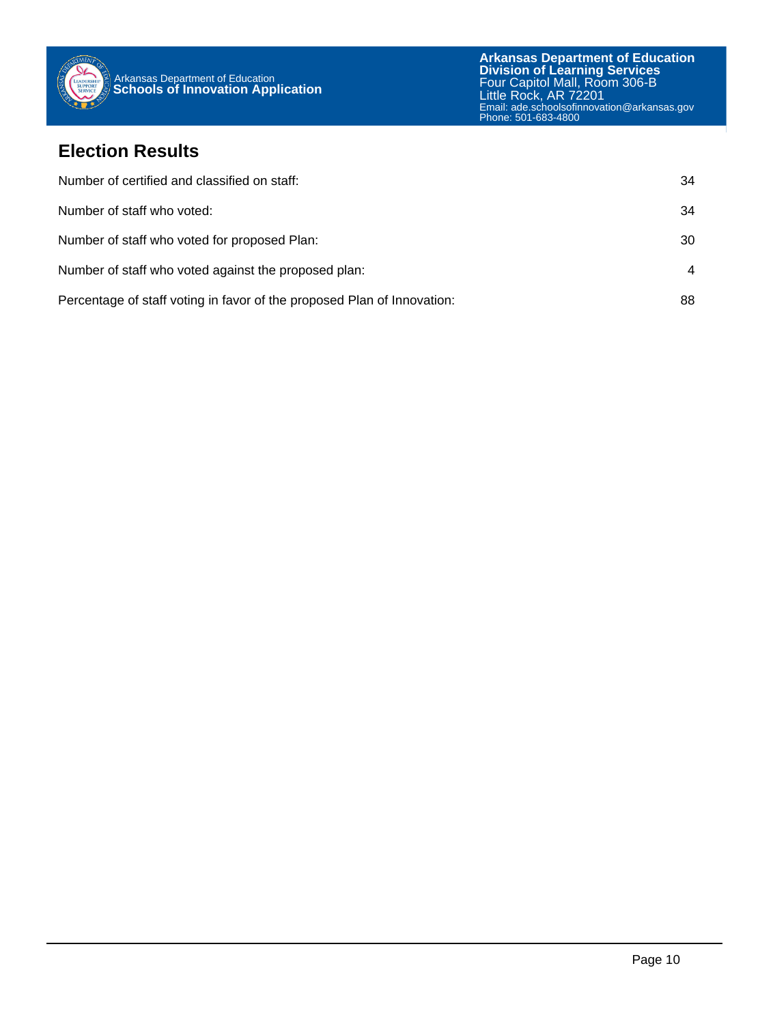

### **Election Results**

| Number of certified and classified on staff:                            | 34 |
|-------------------------------------------------------------------------|----|
| Number of staff who voted:                                              | 34 |
| Number of staff who voted for proposed Plan:                            | 30 |
| Number of staff who voted against the proposed plan:                    | 4  |
| Percentage of staff voting in favor of the proposed Plan of Innovation: | 88 |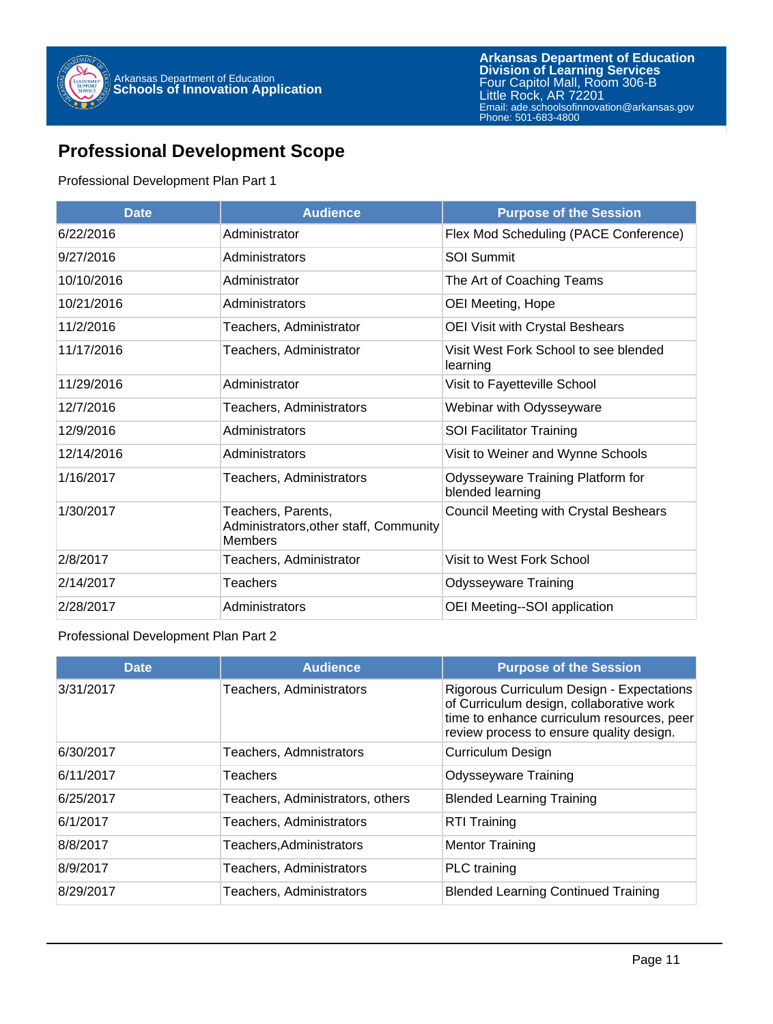

## **Professional Development Scope**

### Professional Development Plan Part 1

| <b>Date</b> | <b>Audience</b>                                                                | <b>Purpose of the Session</b>                         |
|-------------|--------------------------------------------------------------------------------|-------------------------------------------------------|
| 6/22/2016   | Administrator                                                                  | Flex Mod Scheduling (PACE Conference)                 |
| 9/27/2016   | Administrators                                                                 | <b>SOI Summit</b>                                     |
| 10/10/2016  | Administrator                                                                  | The Art of Coaching Teams                             |
| 10/21/2016  | Administrators                                                                 | OEI Meeting, Hope                                     |
| 11/2/2016   | Teachers, Administrator                                                        | OEI Visit with Crystal Beshears                       |
| 11/17/2016  | Teachers, Administrator                                                        | Visit West Fork School to see blended<br>learning     |
| 11/29/2016  | Administrator                                                                  | Visit to Fayetteville School                          |
| 12/7/2016   | Teachers, Administrators                                                       | Webinar with Odysseyware                              |
| 12/9/2016   | Administrators                                                                 | <b>SOI Facilitator Training</b>                       |
| 12/14/2016  | Administrators                                                                 | Visit to Weiner and Wynne Schools                     |
| 1/16/2017   | Teachers, Administrators                                                       | Odysseyware Training Platform for<br>blended learning |
| 1/30/2017   | Teachers, Parents,<br>Administrators, other staff, Community<br><b>Members</b> | Council Meeting with Crystal Beshears                 |
| 2/8/2017    | Teachers, Administrator                                                        | Visit to West Fork School                             |
| 2/14/2017   | Teachers                                                                       | <b>Odysseyware Training</b>                           |
| 2/28/2017   | Administrators                                                                 | OEI Meeting--SOI application                          |

### Professional Development Plan Part 2

| <b>Date</b> | <b>Audience</b>                  | <b>Purpose of the Session</b>                                                                                                                                                   |
|-------------|----------------------------------|---------------------------------------------------------------------------------------------------------------------------------------------------------------------------------|
| 3/31/2017   | Teachers, Administrators         | Rigorous Curriculum Design - Expectations<br>of Curriculum design, collaborative work<br>time to enhance curriculum resources, peer<br>review process to ensure quality design. |
| 6/30/2017   | Teachers, Admnistrators          | Curriculum Design                                                                                                                                                               |
| 6/11/2017   | <b>Teachers</b>                  | <b>Odysseyware Training</b>                                                                                                                                                     |
| 6/25/2017   | Teachers, Administrators, others | <b>Blended Learning Training</b>                                                                                                                                                |
| 6/1/2017    | Teachers, Administrators         | <b>RTI Training</b>                                                                                                                                                             |
| 8/8/2017    | Teachers, Administrators         | <b>Mentor Training</b>                                                                                                                                                          |
| 8/9/2017    | Teachers, Administrators         | PLC training                                                                                                                                                                    |
| 8/29/2017   | <b>Teachers, Administrators</b>  | <b>Blended Learning Continued Training</b>                                                                                                                                      |